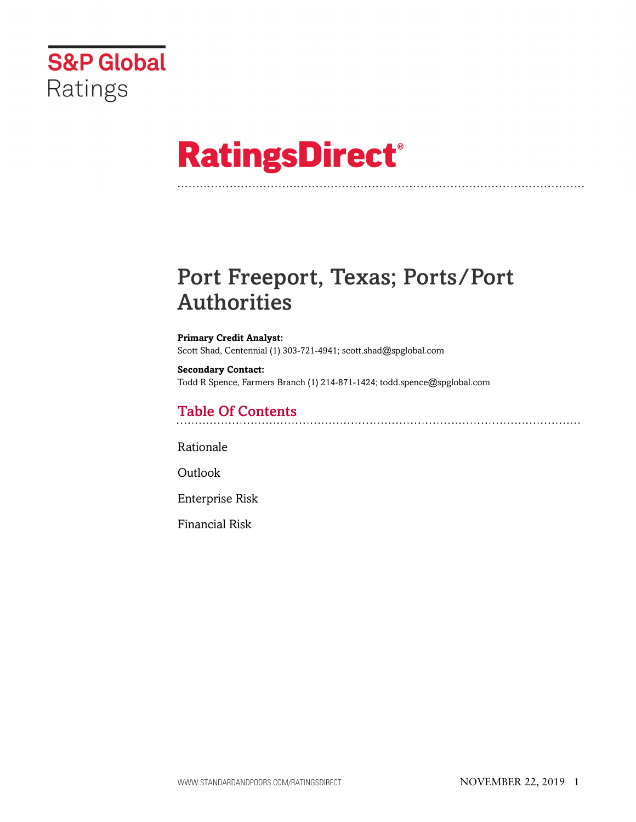

# **RatingsDirect®**

# Port Freeport, Texas; Ports/Port Authorities

**Primary Credit Analyst:** Scott Shad, Centennial (1) 303-721-4941; scott.shad@spglobal.com

**Secondary Contact:** Todd R Spence, Farmers Branch (1) 214-871-1424; todd.spence@spglobal.com

# Table Of Contents

[Rationale](#page-1-0)

[Outlook](#page-3-0)

[Enterprise Risk](#page-3-1)

[Financial Risk](#page-4-0)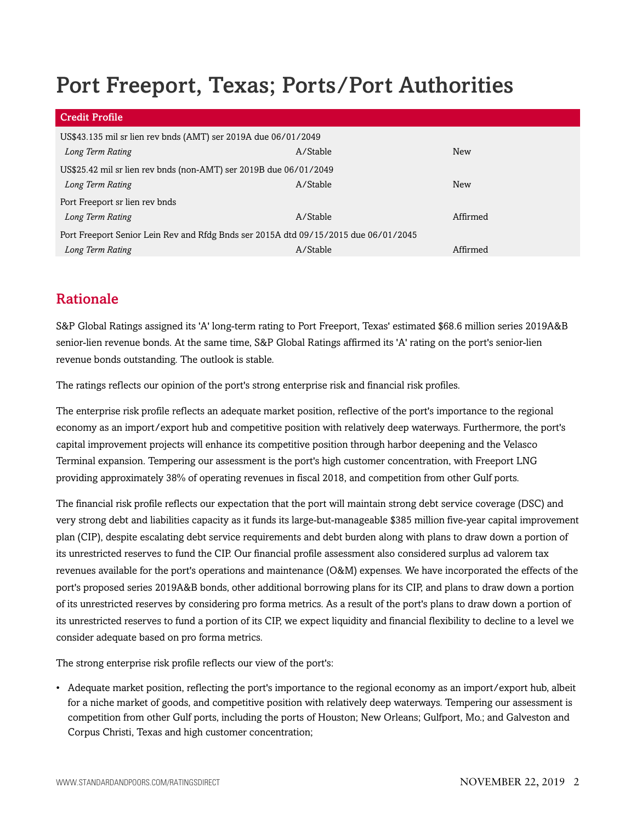# Port Freeport, Texas; Ports/Port Authorities

| <b>Credit Profile</b>                                                               |          |            |
|-------------------------------------------------------------------------------------|----------|------------|
| US\$43.135 mil sr lien rev bnds (AMT) ser 2019A due 06/01/2049                      |          |            |
| Long Term Rating                                                                    | A/Stable | <b>New</b> |
| US\$25.42 mil sr lien rev bnds (non-AMT) ser 2019B due 06/01/2049                   |          |            |
| Long Term Rating                                                                    | A/Stable | <b>New</b> |
| Port Freeport sr lien rev bnds                                                      |          |            |
| Long Term Rating                                                                    | A/Stable | Affirmed   |
| Port Freeport Senior Lein Rev and Rfdg Bnds ser 2015A dtd 09/15/2015 due 06/01/2045 |          |            |
| Long Term Rating                                                                    | A/Stable | Affirmed   |

# <span id="page-1-0"></span>Rationale

S&P Global Ratings assigned its 'A' long-term rating to Port Freeport, Texas' estimated \$68.6 million series 2019A&B senior-lien revenue bonds. At the same time, S&P Global Ratings affirmed its 'A' rating on the port's senior-lien revenue bonds outstanding. The outlook is stable.

The ratings reflects our opinion of the port's strong enterprise risk and financial risk profiles.

The enterprise risk profile reflects an adequate market position, reflective of the port's importance to the regional economy as an import/export hub and competitive position with relatively deep waterways. Furthermore, the port's capital improvement projects will enhance its competitive position through harbor deepening and the Velasco Terminal expansion. Tempering our assessment is the port's high customer concentration, with Freeport LNG providing approximately 38% of operating revenues in fiscal 2018, and competition from other Gulf ports.

The financial risk profile reflects our expectation that the port will maintain strong debt service coverage (DSC) and very strong debt and liabilities capacity as it funds its large-but-manageable \$385 million five-year capital improvement plan (CIP), despite escalating debt service requirements and debt burden along with plans to draw down a portion of its unrestricted reserves to fund the CIP. Our financial profile assessment also considered surplus ad valorem tax revenues available for the port's operations and maintenance (O&M) expenses. We have incorporated the effects of the port's proposed series 2019A&B bonds, other additional borrowing plans for its CIP, and plans to draw down a portion of its unrestricted reserves by considering pro forma metrics. As a result of the port's plans to draw down a portion of its unrestricted reserves to fund a portion of its CIP, we expect liquidity and financial flexibility to decline to a level we consider adequate based on pro forma metrics.

The strong enterprise risk profile reflects our view of the port's:

• Adequate market position, reflecting the port's importance to the regional economy as an import/export hub, albeit for a niche market of goods, and competitive position with relatively deep waterways. Tempering our assessment is competition from other Gulf ports, including the ports of Houston; New Orleans; Gulfport, Mo.; and Galveston and Corpus Christi, Texas and high customer concentration;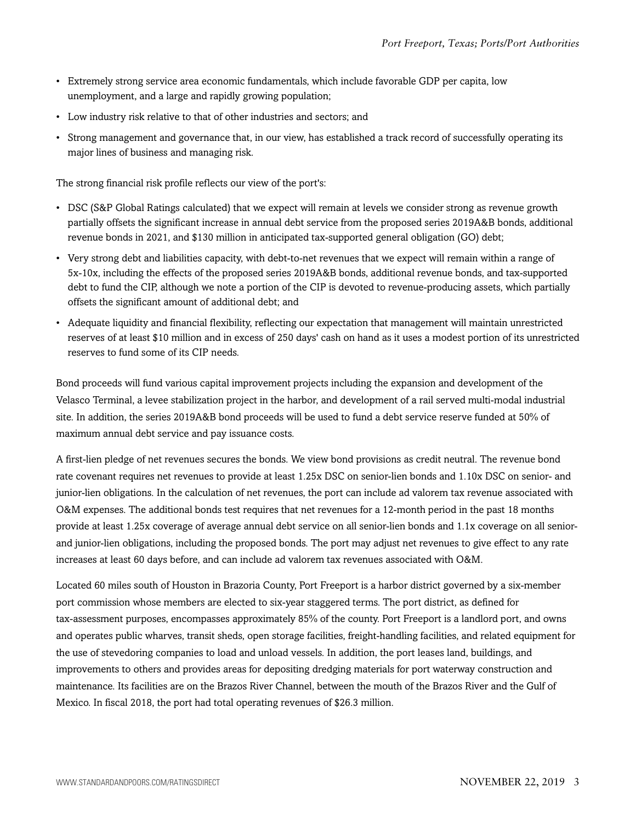- Extremely strong service area economic fundamentals, which include favorable GDP per capita, low unemployment, and a large and rapidly growing population;
- Low industry risk relative to that of other industries and sectors; and
- Strong management and governance that, in our view, has established a track record of successfully operating its major lines of business and managing risk.

The strong financial risk profile reflects our view of the port's:

- DSC (S&P Global Ratings calculated) that we expect will remain at levels we consider strong as revenue growth partially offsets the significant increase in annual debt service from the proposed series 2019A&B bonds, additional revenue bonds in 2021, and \$130 million in anticipated tax-supported general obligation (GO) debt;
- Very strong debt and liabilities capacity, with debt-to-net revenues that we expect will remain within a range of 5x-10x, including the effects of the proposed series 2019A&B bonds, additional revenue bonds, and tax-supported debt to fund the CIP, although we note a portion of the CIP is devoted to revenue-producing assets, which partially offsets the significant amount of additional debt; and
- Adequate liquidity and financial flexibility, reflecting our expectation that management will maintain unrestricted reserves of at least \$10 million and in excess of 250 days' cash on hand as it uses a modest portion of its unrestricted reserves to fund some of its CIP needs.

Bond proceeds will fund various capital improvement projects including the expansion and development of the Velasco Terminal, a levee stabilization project in the harbor, and development of a rail served multi-modal industrial site. In addition, the series 2019A&B bond proceeds will be used to fund a debt service reserve funded at 50% of maximum annual debt service and pay issuance costs.

A first-lien pledge of net revenues secures the bonds. We view bond provisions as credit neutral. The revenue bond rate covenant requires net revenues to provide at least 1.25x DSC on senior-lien bonds and 1.10x DSC on senior- and junior-lien obligations. In the calculation of net revenues, the port can include ad valorem tax revenue associated with O&M expenses. The additional bonds test requires that net revenues for a 12-month period in the past 18 months provide at least 1.25x coverage of average annual debt service on all senior-lien bonds and 1.1x coverage on all seniorand junior-lien obligations, including the proposed bonds. The port may adjust net revenues to give effect to any rate increases at least 60 days before, and can include ad valorem tax revenues associated with O&M.

Located 60 miles south of Houston in Brazoria County, Port Freeport is a harbor district governed by a six-member port commission whose members are elected to six-year staggered terms. The port district, as defined for tax-assessment purposes, encompasses approximately 85% of the county. Port Freeport is a landlord port, and owns and operates public wharves, transit sheds, open storage facilities, freight-handling facilities, and related equipment for the use of stevedoring companies to load and unload vessels. In addition, the port leases land, buildings, and improvements to others and provides areas for depositing dredging materials for port waterway construction and maintenance. Its facilities are on the Brazos River Channel, between the mouth of the Brazos River and the Gulf of Mexico. In fiscal 2018, the port had total operating revenues of \$26.3 million.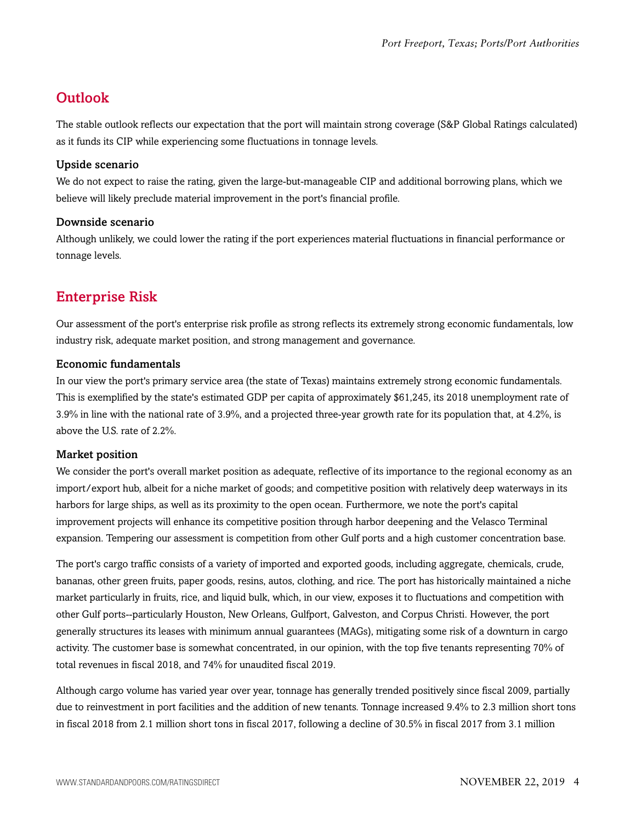# <span id="page-3-0"></span>**Outlook**

The stable outlook reflects our expectation that the port will maintain strong coverage (S&P Global Ratings calculated) as it funds its CIP while experiencing some fluctuations in tonnage levels.

## Upside scenario

We do not expect to raise the rating, given the large-but-manageable CIP and additional borrowing plans, which we believe will likely preclude material improvement in the port's financial profile.

### Downside scenario

Although unlikely, we could lower the rating if the port experiences material fluctuations in financial performance or tonnage levels.

# <span id="page-3-1"></span>Enterprise Risk

Our assessment of the port's enterprise risk profile as strong reflects its extremely strong economic fundamentals, low industry risk, adequate market position, and strong management and governance.

### Economic fundamentals

In our view the port's primary service area (the state of Texas) maintains extremely strong economic fundamentals. This is exemplified by the state's estimated GDP per capita of approximately \$61,245, its 2018 unemployment rate of 3.9% in line with the national rate of 3.9%, and a projected three-year growth rate for its population that, at 4.2%, is above the U.S. rate of 2.2%.

## Market position

We consider the port's overall market position as adequate, reflective of its importance to the regional economy as an import/export hub, albeit for a niche market of goods; and competitive position with relatively deep waterways in its harbors for large ships, as well as its proximity to the open ocean. Furthermore, we note the port's capital improvement projects will enhance its competitive position through harbor deepening and the Velasco Terminal expansion. Tempering our assessment is competition from other Gulf ports and a high customer concentration base.

The port's cargo traffic consists of a variety of imported and exported goods, including aggregate, chemicals, crude, bananas, other green fruits, paper goods, resins, autos, clothing, and rice. The port has historically maintained a niche market particularly in fruits, rice, and liquid bulk, which, in our view, exposes it to fluctuations and competition with other Gulf ports--particularly Houston, New Orleans, Gulfport, Galveston, and Corpus Christi. However, the port generally structures its leases with minimum annual guarantees (MAGs), mitigating some risk of a downturn in cargo activity. The customer base is somewhat concentrated, in our opinion, with the top five tenants representing 70% of total revenues in fiscal 2018, and 74% for unaudited fiscal 2019.

Although cargo volume has varied year over year, tonnage has generally trended positively since fiscal 2009, partially due to reinvestment in port facilities and the addition of new tenants. Tonnage increased 9.4% to 2.3 million short tons in fiscal 2018 from 2.1 million short tons in fiscal 2017, following a decline of 30.5% in fiscal 2017 from 3.1 million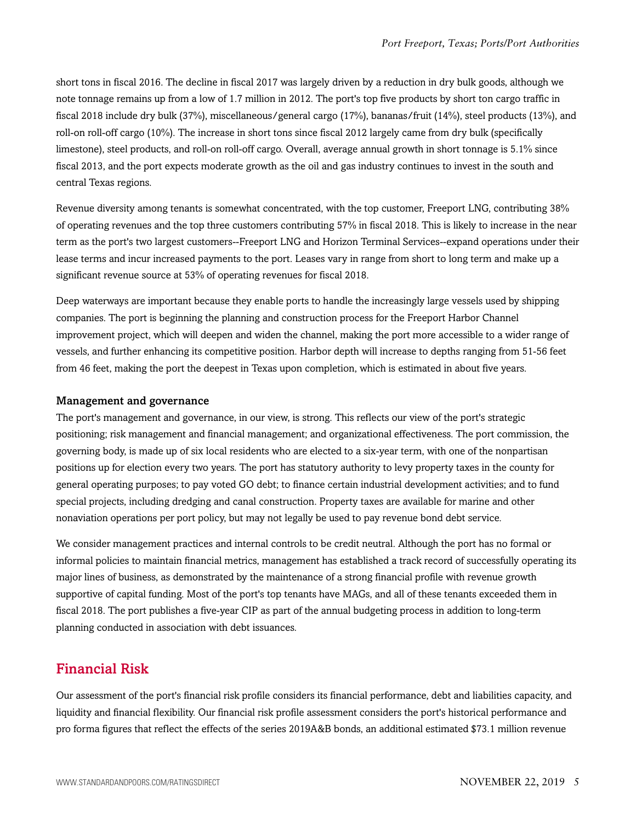short tons in fiscal 2016. The decline in fiscal 2017 was largely driven by a reduction in dry bulk goods, although we note tonnage remains up from a low of 1.7 million in 2012. The port's top five products by short ton cargo traffic in fiscal 2018 include dry bulk (37%), miscellaneous/general cargo (17%), bananas/fruit (14%), steel products (13%), and roll-on roll-off cargo (10%). The increase in short tons since fiscal 2012 largely came from dry bulk (specifically limestone), steel products, and roll-on roll-off cargo. Overall, average annual growth in short tonnage is 5.1% since fiscal 2013, and the port expects moderate growth as the oil and gas industry continues to invest in the south and central Texas regions.

Revenue diversity among tenants is somewhat concentrated, with the top customer, Freeport LNG, contributing 38% of operating revenues and the top three customers contributing 57% in fiscal 2018. This is likely to increase in the near term as the port's two largest customers--Freeport LNG and Horizon Terminal Services--expand operations under their lease terms and incur increased payments to the port. Leases vary in range from short to long term and make up a significant revenue source at 53% of operating revenues for fiscal 2018.

Deep waterways are important because they enable ports to handle the increasingly large vessels used by shipping companies. The port is beginning the planning and construction process for the Freeport Harbor Channel improvement project, which will deepen and widen the channel, making the port more accessible to a wider range of vessels, and further enhancing its competitive position. Harbor depth will increase to depths ranging from 51-56 feet from 46 feet, making the port the deepest in Texas upon completion, which is estimated in about five years.

#### Management and governance

The port's management and governance, in our view, is strong. This reflects our view of the port's strategic positioning; risk management and financial management; and organizational effectiveness. The port commission, the governing body, is made up of six local residents who are elected to a six-year term, with one of the nonpartisan positions up for election every two years. The port has statutory authority to levy property taxes in the county for general operating purposes; to pay voted GO debt; to finance certain industrial development activities; and to fund special projects, including dredging and canal construction. Property taxes are available for marine and other nonaviation operations per port policy, but may not legally be used to pay revenue bond debt service.

We consider management practices and internal controls to be credit neutral. Although the port has no formal or informal policies to maintain financial metrics, management has established a track record of successfully operating its major lines of business, as demonstrated by the maintenance of a strong financial profile with revenue growth supportive of capital funding. Most of the port's top tenants have MAGs, and all of these tenants exceeded them in fiscal 2018. The port publishes a five-year CIP as part of the annual budgeting process in addition to long-term planning conducted in association with debt issuances.

# <span id="page-4-0"></span>Financial Risk

Our assessment of the port's financial risk profile considers its financial performance, debt and liabilities capacity, and liquidity and financial flexibility. Our financial risk profile assessment considers the port's historical performance and pro forma figures that reflect the effects of the series 2019A&B bonds, an additional estimated \$73.1 million revenue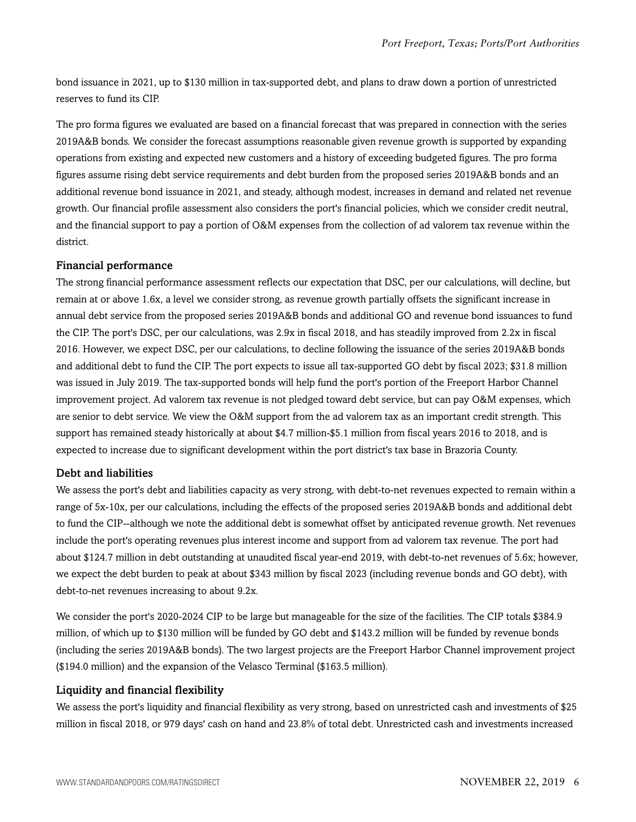bond issuance in 2021, up to \$130 million in tax-supported debt, and plans to draw down a portion of unrestricted reserves to fund its CIP.

The pro forma figures we evaluated are based on a financial forecast that was prepared in connection with the series 2019A&B bonds. We consider the forecast assumptions reasonable given revenue growth is supported by expanding operations from existing and expected new customers and a history of exceeding budgeted figures. The pro forma figures assume rising debt service requirements and debt burden from the proposed series 2019A&B bonds and an additional revenue bond issuance in 2021, and steady, although modest, increases in demand and related net revenue growth. Our financial profile assessment also considers the port's financial policies, which we consider credit neutral, and the financial support to pay a portion of O&M expenses from the collection of ad valorem tax revenue within the district.

#### Financial performance

The strong financial performance assessment reflects our expectation that DSC, per our calculations, will decline, but remain at or above 1.6x, a level we consider strong, as revenue growth partially offsets the significant increase in annual debt service from the proposed series 2019A&B bonds and additional GO and revenue bond issuances to fund the CIP. The port's DSC, per our calculations, was 2.9x in fiscal 2018, and has steadily improved from 2.2x in fiscal 2016. However, we expect DSC, per our calculations, to decline following the issuance of the series 2019A&B bonds and additional debt to fund the CIP. The port expects to issue all tax-supported GO debt by fiscal 2023; \$31.8 million was issued in July 2019. The tax-supported bonds will help fund the port's portion of the Freeport Harbor Channel improvement project. Ad valorem tax revenue is not pledged toward debt service, but can pay O&M expenses, which are senior to debt service. We view the O&M support from the ad valorem tax as an important credit strength. This support has remained steady historically at about \$4.7 million-\$5.1 million from fiscal years 2016 to 2018, and is expected to increase due to significant development within the port district's tax base in Brazoria County.

#### Debt and liabilities

We assess the port's debt and liabilities capacity as very strong, with debt-to-net revenues expected to remain within a range of 5x-10x, per our calculations, including the effects of the proposed series 2019A&B bonds and additional debt to fund the CIP--although we note the additional debt is somewhat offset by anticipated revenue growth. Net revenues include the port's operating revenues plus interest income and support from ad valorem tax revenue. The port had about \$124.7 million in debt outstanding at unaudited fiscal year-end 2019, with debt-to-net revenues of 5.6x; however, we expect the debt burden to peak at about \$343 million by fiscal 2023 (including revenue bonds and GO debt), with debt-to-net revenues increasing to about 9.2x.

We consider the port's 2020-2024 CIP to be large but manageable for the size of the facilities. The CIP totals \$384.9 million, of which up to \$130 million will be funded by GO debt and \$143.2 million will be funded by revenue bonds (including the series 2019A&B bonds). The two largest projects are the Freeport Harbor Channel improvement project (\$194.0 million) and the expansion of the Velasco Terminal (\$163.5 million).

#### Liquidity and financial flexibility

We assess the port's liquidity and financial flexibility as very strong, based on unrestricted cash and investments of \$25 million in fiscal 2018, or 979 days' cash on hand and 23.8% of total debt. Unrestricted cash and investments increased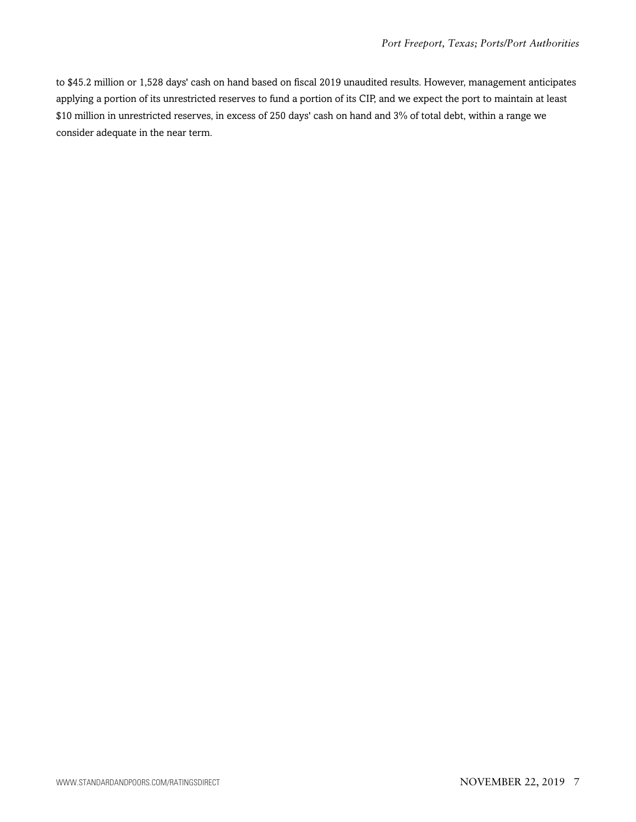to \$45.2 million or 1,528 days' cash on hand based on fiscal 2019 unaudited results. However, management anticipates applying a portion of its unrestricted reserves to fund a portion of its CIP, and we expect the port to maintain at least \$10 million in unrestricted reserves, in excess of 250 days' cash on hand and 3% of total debt, within a range we consider adequate in the near term.